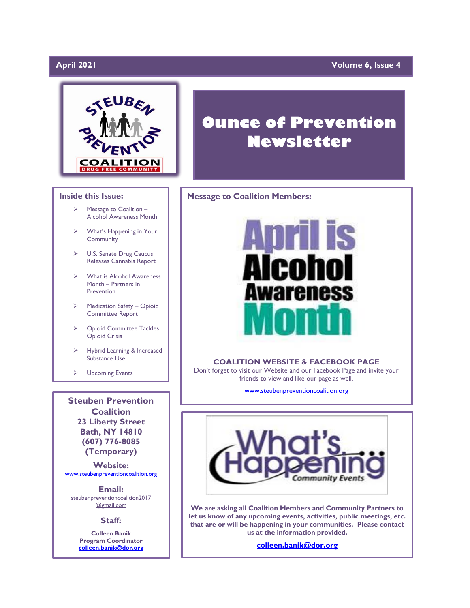# April 2021

## **April 2021 Volume 6, Issue 4**



### **Inside this Issue:**

- ➢ Message to Coalition Alcohol Awareness Month
- ➢ What's Happening in Your Community
- ➢ U.S. Senate Drug Caucus Releases Cannabis Report
- ➢ What is Alcohol Awareness Month – Partners in Prevention
- ➢ Medication Safety Opioid Committee Report
- ➢ Opioid Committee Tackles Opioid Crisis
- ➢ Hybrid Learning & Increased Substance Use

➢ Upcoming Events

**Steuben Prevention Coalition 23 Liberty Street Bath, NY 14810 (607) 776-8085 (Temporary)**

**Website:**  [www.steubenpreventioncoalition.org](http://www.steubenpreventioncoalition.org/)

**Email:**  steubenpreventioncoalition2017 @gmail.com

### **Staff:**

**Colleen Banik Program Coordinator [colleen.banik@dor.org](mailto:colleen.banik@dor.org)**

# **Ounce of Prevention Newsletter**

# **Message to Coalition Members:**



### **COALITION WEBSITE & FACEBOOK PAGE**

Don't forget to visit our Website and our Facebook Page and invite your friends to view and like our page as well.

[www.steubenpreventioncoalition.org](http://www.steubenpreventioncoalition.org/)



**We are asking all Coalition Members and Community Partners to let us know of any upcoming events, activities, public meetings, etc. that are or will be happening in your communities. Please contact us at the information provided.**

**[colleen.banik@dor.org](mailto:colleen.banik@dor.org)**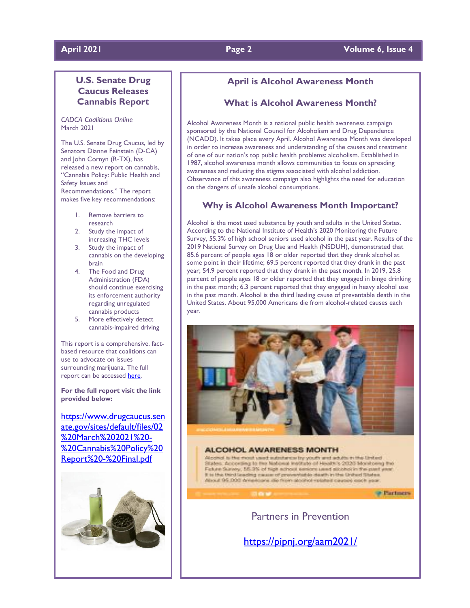## **April 2021 Page 2 Volume 6, Issue 4**

# **U.S. Senate Drug Caucus Releases Cannabis Report**

*CADCA Coalitions Online* March 2021

The U.S. Senate Drug Caucus, led by Senators Dianne Feinstein (D-CA) and John Cornyn (R-TX), has released a new report on cannabis, "Cannabis Policy: Public Health and Safety Issues and Recommendations." The report makes five key recommendations:

- 1. Remove barriers to research
- 2. Study the impact of increasing THC levels
- 3. Study the impact of cannabis on the developing brain
- 4. The Food and Drug Administration (FDA) should continue exercising its enforcement authority regarding unregulated cannabis products
- 5. More effectively detect cannabis-impaired driving

This report is a comprehensive, factbased resource that coalitions can use to advocate on issues surrounding marijuana. The full report can be accessed [here](http://www.mmsend36.com/link.cfm?r=PXFTCIKIY6A9M76tnE-tWQ~~&pe=6cx9eHqwaoCN_MWcMOxHOistSMlTC72-JnP6pDN36-yYtyIsUra5wXpl_1GNxUwIc-fEcKr05p3wuFf1ZZ4IbQ~~&t=gx0nAUT7O6lMqeO9m9OiMg~~).

**For the full report visit the link provided below:**

[https://www.drugcaucus.sen](https://www.drugcaucus.senate.gov/sites/default/files/02%20March%202021%20-%20Cannabis%20Policy%20Report%20-%20Final.pdf) [ate.gov/sites/default/files/02](https://www.drugcaucus.senate.gov/sites/default/files/02%20March%202021%20-%20Cannabis%20Policy%20Report%20-%20Final.pdf) [%20March%202021%20-](https://www.drugcaucus.senate.gov/sites/default/files/02%20March%202021%20-%20Cannabis%20Policy%20Report%20-%20Final.pdf) [%20Cannabis%20Policy%20](https://www.drugcaucus.senate.gov/sites/default/files/02%20March%202021%20-%20Cannabis%20Policy%20Report%20-%20Final.pdf) [Report%20-%20Final.pdf](https://www.drugcaucus.senate.gov/sites/default/files/02%20March%202021%20-%20Cannabis%20Policy%20Report%20-%20Final.pdf)



## **April is Alcohol Awareness Month**

# **What is Alcohol Awareness Month?**

Alcohol Awareness Month is a national public health awareness campaign sponsored by the National Council for Alcoholism and Drug Dependence (NCADD). It takes place every April. Alcohol Awareness Month was developed in order to increase awareness and understanding of the causes and treatment of one of our nation's top public health problems: alcoholism. Established in 1987, alcohol awareness month allows communities to focus on spreading awareness and reducing the stigma associated with alcohol addiction. Observance of this awareness campaign also highlights the need for education on the dangers of unsafe alcohol consumptions.

## **Why is Alcohol Awareness Month Important?**

Alcohol is the most used substance by youth and adults in the United States. According to the National Institute of Health's 2020 Monitoring the Future Survey, 55.3% of high school seniors used alcohol in the past year. Results of the 2019 National Survey on Drug Use and Health (NSDUH), demonstrated that 85.6 percent of people ages 18 or older reported that they drank alcohol at some point in their lifetime; 69.5 percent reported that they drank in the past year; 54.9 percent reported that they drank in the past month. In 2019, 25.8 percent of people ages 18 or older reported that they engaged in binge drinking in the past month; 6.3 percent reported that they engaged in heavy alcohol use in the past month. Alcohol is the third leading cause of preventable death in the United States. About 95,000 Americans die from alcohol-related causes each year.



### **ALCOHOL AWARENESS MONTH**

Alcohol is the most used substance by youth and adults in the United States. According to the Notional Institute of Health's 2020 Monitoring the Falure Survey, 55.3% of high achout seriors used attacholic the past y It is the third leading cause of preventable death in the United States. About 95,000 Americans die from abdivol related causes each year.

**Continers** 

Partners in Prevention

<https://pipnj.org/aam2021/>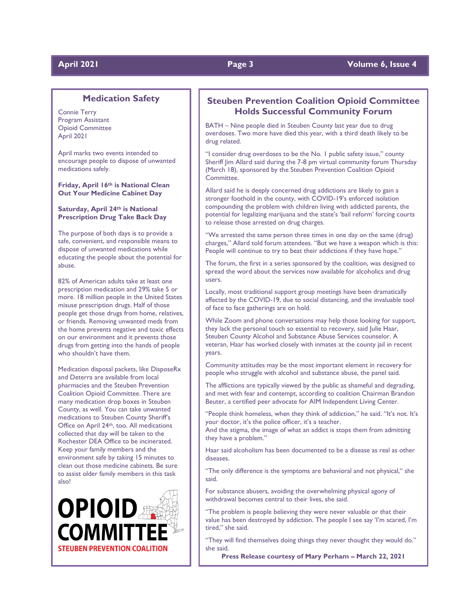### **Medication Safety**

Connie Terry Program Assistant Opioid Committee April 2021

April marks two events intended to encourage people to dispose of unwanted medications safely.

**Friday, April 16th is National Clean Out Your Medicine Cabinet Day**

### **Saturday, April 24th is National Prescription Drug Take Back Day**

The purpose of both days is to provide a safe, convenient, and responsible means to dispose of unwanted medications while educating the people about the potential for abuse.

82% of American adults take at least one prescription medication and 29% take 5 or more. 18 million people in the United States misuse prescription drugs. Half of those people get those drugs from home, relatives, or friends. Removing unwanted meds from the home prevents negative and toxic effects on our environment and it prevents those drugs from getting into the hands of people who shouldn't have them.

Medication disposal packets, like DisposeRx and Deterra are available from local pharmacies and the Steuben Prevention Coalition Opioid Committee. There are many medication drop boxes in Steuben County, as well. You can take unwanted medications to Steuben County Sheriff's Office on April 24th, too. All medications collected that day will be taken to the Rochester DEA Office to be incinerated. Keep your family members and the environment safe by taking 15 minutes to clean out those medicine cabinets. Be sure to assist older family members in this task also!



### **Steuben Prevention Coalition Opioid Committee Holds Successful Community Forum**

BATH – Nine people died in Steuben County last year due to drug overdoses. Two more have died this year, with a third death likely to be drug related.

"I consider drug overdoses to be the No. 1 public safety issue," county Sheriff Jim Allard said during the 7-8 pm virtual community forum Thursday (March 18), sponsored by the Steuben Prevention Coalition Opioid Committee.

Allard said he is deeply concerned drug addictions are likely to gain a stronger foothold in the county, with COVID-19's enforced isolation compounding the problem with children living with addicted parents, the potential for legalizing marijuana and the state's 'bail reform' forcing courts to release those arrested on drug charges.

"We arrested the same person three times in one day on the same (drug) charges," Allard told forum attendees. "But we have a weapon which is this: People will continue to try to beat their addictions if they have hope."

The forum, the first in a series sponsored by the coalition, was designed to spread the word about the services now available for alcoholics and drug users.

Locally, most traditional support group meetings have been dramatically affected by the COVID-19, due to social distancing, and the invaluable tool of face to face gatherings are on hold.

While Zoom and phone conversations may help those looking for support, they lack the personal touch so essential to recovery, said Julie Haar, Steuben County Alcohol and Substance Abuse Services counselor. A veteran, Haar has worked closely with inmates at the county jail in recent years.

Community attitudes may be the most important element in recovery for people who struggle with alcohol and substance abuse, the panel said.

The afflictions are typically viewed by the public as shameful and degrading, and met with fear and contempt, according to coalition Chairman Brandon Beuter, a certified peer advocate for AIM Independent Living Center.

"People think homeless, when they think of addiction," he said. "It's not. It's your doctor, it's the police officer, it's a teacher.

And the stigma, the image of what an addict is stops them from admitting they have a problem."

Haar said alcoholism has been documented to be a disease as real as other diseases.

"The only difference is the symptoms are behavioral and not physical," she said.

For substance abusers, avoiding the overwhelming physical agony of withdrawal becomes central to their lives, she said.

"The problem is people believing they were never valuable or that their value has been destroyed by addiction. The people I see say 'I'm scared, I'm tired," she said.

"They will find themselves doing things they never thought they would do." she said.

**Press Release courtesy of Mary Perham – March 22, 2021**